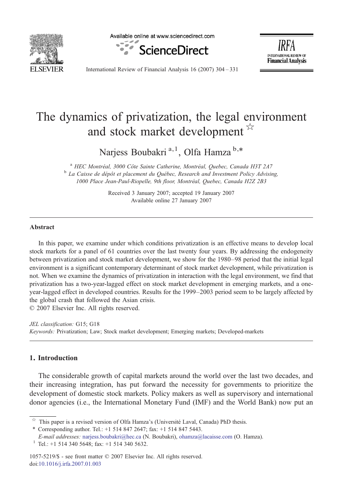

Available online at www.sciencedirect.com





International Review of Financial Analysis 16 (2007) 304–331

## The dynamics of privatization, the legal environment and stock market development  $\overrightarrow{r}$

Narjess Boubakri<sup>a, 1</sup>, Olfa Hamza<sup>b,\*</sup>

<sup>a</sup> HEC Montréal, 3000 Côte Sainte Catherine, Montréal, Quebec, Canada H3T 2A7 b La Caisse de dépôt et placement du Québec, Research and Investment Policy Advising, 1000 Place Jean-Paul-Riopelle, 9th floor, Montréal, Quebec, Canada H2Z 2B3

> Received 3 January 2007; accepted 19 January 2007 Available online 27 January 2007

## Abstract

In this paper, we examine under which conditions privatization is an effective means to develop local stock markets for a panel of 61 countries over the last twenty four years. By addressing the endogeneity between privatization and stock market development, we show for the 1980–98 period that the initial legal environment is a significant contemporary determinant of stock market development, while privatization is not. When we examine the dynamics of privatization in interaction with the legal environment, we find that privatization has a two-year-lagged effect on stock market development in emerging markets, and a oneyear-lagged effect in developed countries. Results for the 1999–2003 period seem to be largely affected by the global crash that followed the Asian crisis.

© 2007 Elsevier Inc. All rights reserved.

JEL classification: G15; G18 Keywords: Privatization; Law; Stock market development; Emerging markets; Developed-markets

## 1. Introduction

The considerable growth of capital markets around the world over the last two decades, and their increasing integration, has put forward the necessity for governments to prioritize the development of domestic stock markets. Policy makers as well as supervisory and international donor agencies (i.e., the International Monetary Fund (IMF) and the World Bank) now put an

doi[:10.1016/j.irfa.2007.01.003](http://dx.doi.org/10.1016/j.irfa.2007.01.003)

This paper is a revised version of Olfa Hamza's (Université Laval, Canada) PhD thesis.

<sup>⁎</sup> Corresponding author. Tel.: +1 514 847 2647; fax: +1 514 847 5443.

E-mail addresses: [narjess.boubakri@hec.ca](mailto:narjess.boubakri@hec.ca) (N. Boubakri), [ohamza@lacaisse.com](mailto:ohamza@lacaisse.com) (O. Hamza). <sup>1</sup> Tel.: +1 514 340 5648; fax: +1 514 340 5632.

<sup>1057-5219/\$ -</sup> see front matter © 2007 Elsevier Inc. All rights reserved.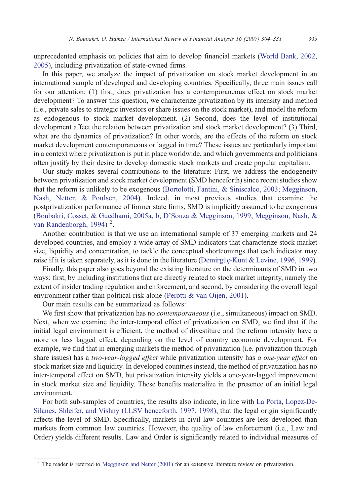unprecedented emphasis on policies that aim to develop financial markets ([World Bank, 2002,](#page--1-0) [2005](#page--1-0)), including privatization of state-owned firms.

In this paper, we analyze the impact of privatization on stock market development in an international sample of developed and developing countries. Specifically, three main issues call for our attention: (1) first, does privatization has a contemporaneous effect on stock market development? To answer this question, we characterize privatization by its intensity and method (i.e., private sales to strategic investors or share issues on the stock market), and model the reform as endogenous to stock market development. (2) Second, does the level of institutional development affect the relation between privatization and stock market development? (3) Third, what are the dynamics of privatization? In other words, are the effects of the reform on stock market development contemporaneous or lagged in time? These issues are particularly important in a context where privatization is put in place worldwide, and which governments and politicians often justify by their desire to develop domestic stock markets and create popular capitalism.

Our study makes several contributions to the literature: First, we address the endogeneity between privatization and stock market development (SMD henceforth) since recent studies show that the reform is unlikely to be exogenous [\(Bortolotti, Fantini, & Siniscalco, 2003; Megginson,](#page--1-0) [Nash, Netter, & Poulsen, 2004](#page--1-0)). Indeed, in most previous studies that examine the postprivatization performance of former state firms, SMD is implicitly assumed to be exogenous ([Boubakri, Cosset, & Guedhami, 2005a, b; D'Souza & Megginson, 1999; Megginson, Nash, &](#page--1-0) [van Randenborgh, 1994\)](#page--1-0)<sup>2</sup>.

Another contribution is that we use an international sample of 37 emerging markets and 24 developed countries, and employ a wide array of SMD indicators that characterize stock market size, liquidity and concentration, to tackle the conceptual shortcomings that each indicator may raise if it is taken separately, as it is done in the literature ([Demirgüç-Kunt & Levine, 1996, 1999](#page--1-0)).

Finally, this paper also goes beyond the existing literature on the determinants of SMD in two ways: first, by including institutions that are directly related to stock market integrity, namely the extent of insider trading regulation and enforcement, and second, by considering the overall legal environment rather than political risk alone ([Perotti & van Oijen, 2001](#page--1-0)).

Our main results can be summarized as follows:

We first show that privatization has no *contemporaneous* (i.e., simultaneous) impact on SMD. Next, when we examine the inter-temporal effect of privatization on SMD, we find that if the initial legal environment is efficient, the method of divestiture and the reform intensity have a more or less lagged effect, depending on the level of country economic development. For example, we find that in emerging markets the method of privatization (i.e. privatization through share issues) has a two-year-lagged effect while privatization intensity has a one-year effect on stock market size and liquidity. In developed countries instead, the method of privatization has no inter-temporal effect on SMD, but privatization intensity yields a one-year-lagged improvement in stock market size and liquidity. These benefits materialize in the presence of an initial legal environment.

For both sub-samples of countries, the results also indicate, in line with [La Porta, Lopez-De-](#page--1-0)[Silanes, Shleifer, and Vishny \(LLSV henceforth, 1997, 1998\),](#page--1-0) that the legal origin significantly affects the level of SMD. Specifically, markets in civil law countries are less developed than markets from common law countries. However, the quality of law enforcement (i.e., Law and Order) yields different results. Law and Order is significantly related to individual measures of

<sup>&</sup>lt;sup>2</sup> The reader is referred to [Megginson and Netter \(2001\)](#page--1-0) for an extensive literature review on privatization.